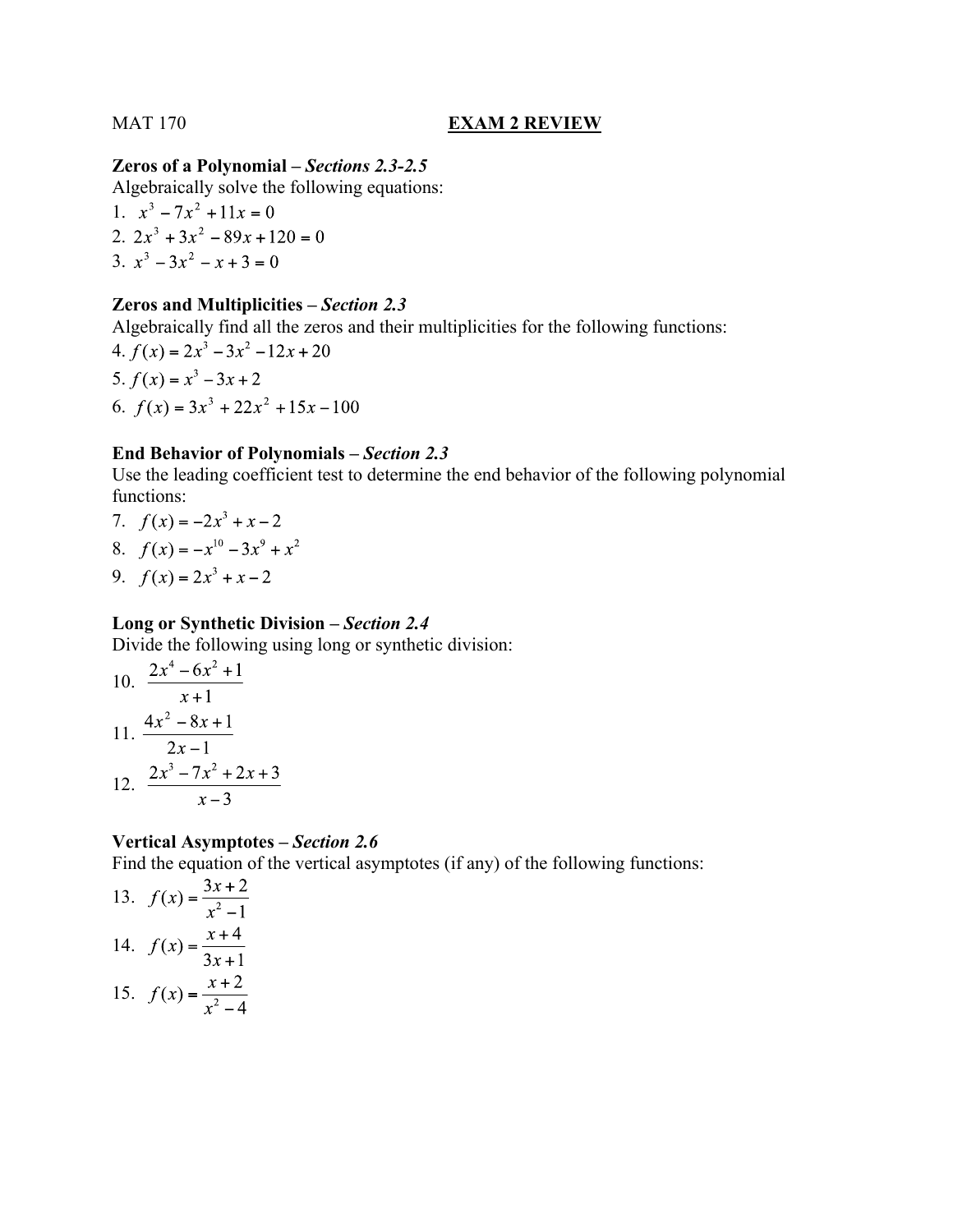# MAT 170 **EXAM 2 REVIEW**

# **Zeros of a Polynomial –** *Sections 2.3-2.5*

Algebraically solve the following equations:

1.  $x^3 - 7x^2 + 11x = 0$ 2.  $2x^3 + 3x^2 - 89x + 120 = 0$ 3.  $x^3 - 3x^2 - x + 3 = 0$ 

## **Zeros and Multiplicities –** *Section 2.3*

Algebraically find all the zeros and their multiplicities for the following functions:

4.  $f(x) = 2x^3 - 3x^2 - 12x + 20$ 5.  $f(x) = x^3 - 3x + 2$ 6.  $f(x) = 3x^3 + 22x^2 + 15x - 100$ 

# **End Behavior of Polynomials –** *Section 2.3*

Use the leading coefficient test to determine the end behavior of the following polynomial functions:

- 7.  $f(x) = -2x^3 + x 2$
- 8.  $f(x) = -x^{10} 3x^9 + x^2$
- 9.  $f(x) = 2x^3 + x 2$

# **Long or Synthetic Division –** *Section 2.4*

Divide the following using long or synthetic division:

10. 
$$
\frac{2x^4 - 6x^2 + 1}{x+1}
$$
  
11. 
$$
\frac{4x^2 - 8x + 1}{2x - 1}
$$
  
12. 
$$
\frac{2x^3 - 7x^2 + 2x + 3}{x - 3}
$$

# **Vertical Asymptotes –** *Section 2.6*

Find the equation of the vertical asymptotes (if any) of the following functions:

13. 
$$
f(x) = \frac{3x+2}{x^2-1}
$$
  
\n14.  $f(x) = \frac{x+4}{3x+1}$   
\n15.  $f(x) = \frac{x+2}{x^2-4}$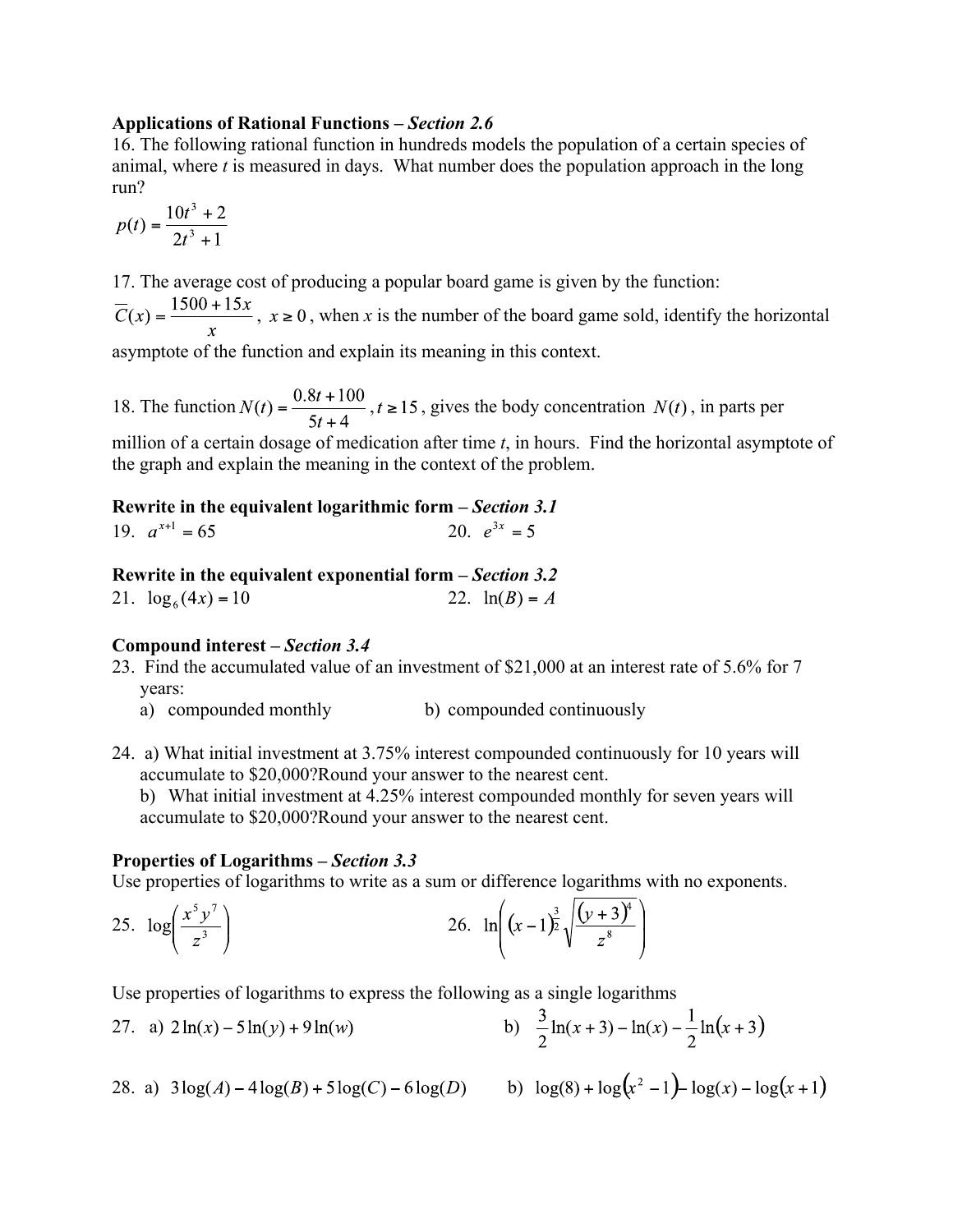## **Applications of Rational Functions –** *Section 2.6*

16. The following rational function in hundreds models the population of a certain species of animal, where *t* is measured in days. What number does the population approach in the long run?

$$
p(t) = \frac{10t^3 + 2}{2t^3 + 1}
$$

17. The average cost of producing a popular board game is given by the function:

 $\overline{C}(x) = \frac{1500 + 15x}{x}$ ,  $x \ge 0$ , when x is the number of the board game sold, identify the horizontal

asymptote of the function and explain its meaning in this context.

18. The function  $N(t) = \frac{0.8t + 100}{5t + 4}$ ,  $t \ge 15$ , gives the body concentration  $N(t)$ , in parts per

million of a certain dosage of medication after time *t*, in hours. Find the horizontal asymptote of the graph and explain the meaning in the context of the problem.

# **Rewrite in the equivalent logarithmic form –** *Section 3.1* 19. 20.

# **Rewrite in the equivalent exponential form –** *Section 3.2*

21.  $\log_6(4x) = 10$  22.  $\ln(B) = A$ 

## **Compound interest –** *Section 3.4*

- 23. Find the accumulated value of an investment of \$21,000 at an interest rate of 5.6% for 7 years:
	- a) compounded monthly b) compounded continuously
- 24. a) What initial investment at 3.75% interest compounded continuously for 10 years will accumulate to \$20,000?Round your answer to the nearest cent.

b) What initial investment at 4.25% interest compounded monthly for seven years will accumulate to \$20,000?Round your answer to the nearest cent.

## **Properties of Logarithms –** *Section 3.3*

Use properties of logarithms to write as a sum or difference logarithms with no exponents.

25. 
$$
\log \left( \frac{x^5 y^7}{z^3} \right)
$$
 26.  $\ln \left( (x-1)^{\frac{3}{2}} \sqrt{\frac{(y+3)^4}{z^8}} \right)$ 

Use properties of logarithms to express the following as a single logarithms

27. a) 
$$
2\ln(x) - 5\ln(y) + 9\ln(w)
$$
   
b)  $\frac{3}{2}\ln(x+3) - \ln(x) - \frac{1}{2}\ln(x+3)$ 

28. a) 
$$
3\log(A) - 4\log(B) + 5\log(C) - 6\log(D)
$$
 b)

b) 
$$
\log(8) + \log(x^2 - 1) - \log(x) - \log(x + 1)
$$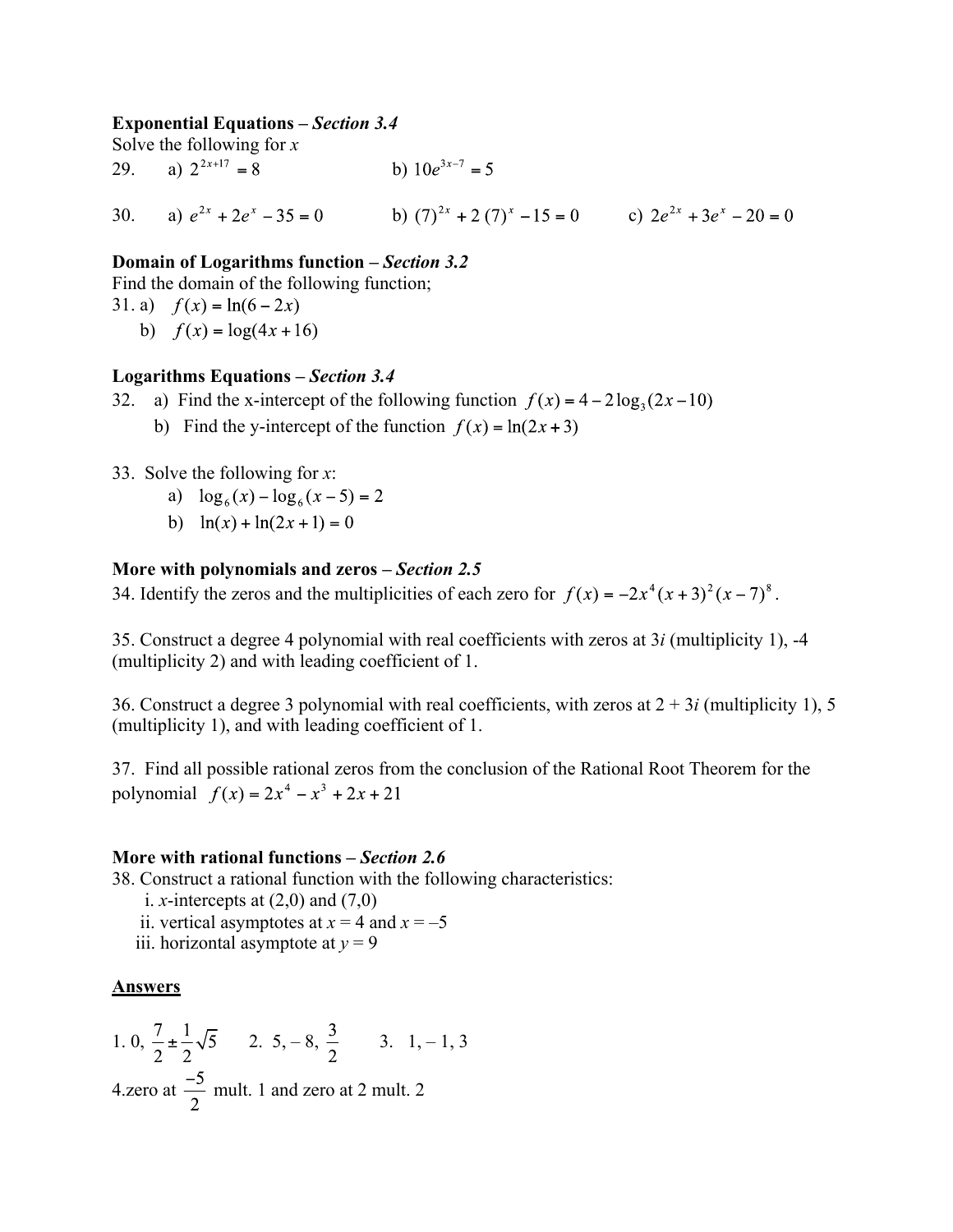## **Exponential Equations –** *Section 3.4*

Solve the following for *x* 29. a)  $2^{2x+17} = 8$  b)  $10e^{3x-7} = 5$ 

30. a) 
$$
e^{2x} + 2e^x - 35 = 0
$$
 b)  $(7)^{2x} + 2(7)^x - 15 = 0$  c)  $2e^{2x} + 3e^x - 20 = 0$ 

## **Domain of Logarithms function –** *Section 3.2*

Find the domain of the following function;

31. a)  $f(x) = \ln(6-2x)$ b)  $f(x) = log(4x + 16)$ 

## **Logarithms Equations –** *Section 3.4*

- 32. a) Find the x-intercept of the following function  $f(x) = 4 2 \log_3(2x 10)$ 
	- b) Find the y-intercept of the function  $f(x) = \ln(2x + 3)$
- 33. Solve the following for *x*:
	- a)  $\log_6(x) \log_6(x-5) = 2$
	- b)  $\ln(x) + \ln(2x + 1) = 0$

## **More with polynomials and zeros –** *Section 2.5*

34. Identify the zeros and the multiplicities of each zero for  $f(x) = -2x^4(x+3)^2(x-7)^8$ .

35. Construct a degree 4 polynomial with real coefficients with zeros at 3*i* (multiplicity 1), -4 (multiplicity 2) and with leading coefficient of 1.

36. Construct a degree 3 polynomial with real coefficients, with zeros at 2 + 3*i* (multiplicity 1), 5 (multiplicity 1), and with leading coefficient of 1.

37. Find all possible rational zeros from the conclusion of the Rational Root Theorem for the polynomial  $f(x) = 2x^4 - x^3 + 2x + 21$ 

## **More with rational functions –** *Section 2.6*

38. Construct a rational function with the following characteristics:

- i. *x*-intercepts at  $(2,0)$  and  $(7,0)$
- ii. vertical asymptotes at  $x = 4$  and  $x = -5$
- iii. horizontal asymptote at  $y = 9$

## **Answers**

1. 0, 
$$
\frac{7}{2} \pm \frac{1}{2}\sqrt{5}
$$
 2. 5, -8,  $\frac{3}{2}$  3. 1, -1, 3  
4.zero at  $\frac{-5}{2}$  mult. 1 and zero at 2 mult. 2